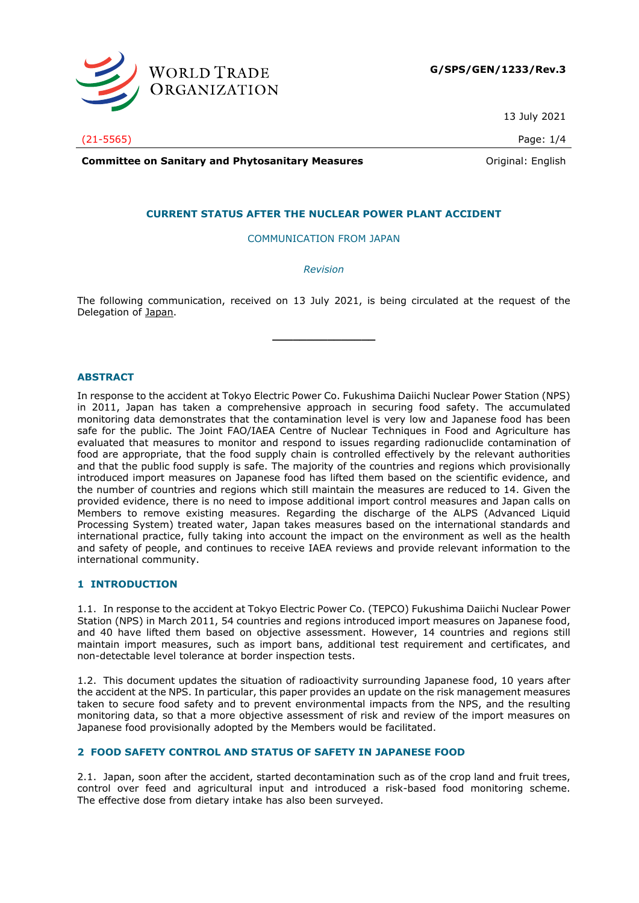

13 July 2021

(21-5565) Page: 1/4

**Committee on Sanitary and Phytosanitary Measures Committee on Sanitary and Phytosanitary Measures Original: English** 

# **CURRENT STATUS AFTER THE NUCLEAR POWER PLANT ACCIDENT**

COMMUNICATION FROM JAPAN

*Revision*

The following communication, received on 13 July 2021, is being circulated at the request of the Delegation of Japan.

**\_\_\_\_\_\_\_\_\_\_\_\_\_\_\_**

# **ABSTRACT**

In response to the accident at Tokyo Electric Power Co. Fukushima Daiichi Nuclear Power Station (NPS) in 2011, Japan has taken a comprehensive approach in securing food safety. The accumulated monitoring data demonstrates that the contamination level is very low and Japanese food has been safe for the public. The Joint FAO/IAEA Centre of Nuclear Techniques in Food and Agriculture has evaluated that measures to monitor and respond to issues regarding radionuclide contamination of food are appropriate, that the food supply chain is controlled effectively by the relevant authorities and that the public food supply is safe. The majority of the countries and regions which provisionally introduced import measures on Japanese food has lifted them based on the scientific evidence, and the number of countries and regions which still maintain the measures are reduced to 14. Given the provided evidence, there is no need to impose additional import control measures and Japan calls on Members to remove existing measures. Regarding the discharge of the ALPS (Advanced Liquid Processing System) treated water, Japan takes measures based on the international standards and international practice, fully taking into account the impact on the environment as well as the health and safety of people, and continues to receive IAEA reviews and provide relevant information to the international community.

# **1 INTRODUCTION**

1.1. In response to the accident at Tokyo Electric Power Co. (TEPCO) Fukushima Daiichi Nuclear Power Station (NPS) in March 2011, 54 countries and regions introduced import measures on Japanese food, and 40 have lifted them based on objective assessment. However, 14 countries and regions still maintain import measures, such as import bans, additional test requirement and certificates, and non-detectable level tolerance at border inspection tests.

1.2. This document updates the situation of radioactivity surrounding Japanese food, 10 years after the accident at the NPS. In particular, this paper provides an update on the risk management measures taken to secure food safety and to prevent environmental impacts from the NPS, and the resulting monitoring data, so that a more objective assessment of risk and review of the import measures on Japanese food provisionally adopted by the Members would be facilitated.

# **2 FOOD SAFETY CONTROL AND STATUS OF SAFETY IN JAPANESE FOOD**

2.1. Japan, soon after the accident, started decontamination such as of the crop land and fruit trees, control over feed and agricultural input and introduced a risk-based food monitoring scheme. The effective dose from dietary intake has also been surveyed.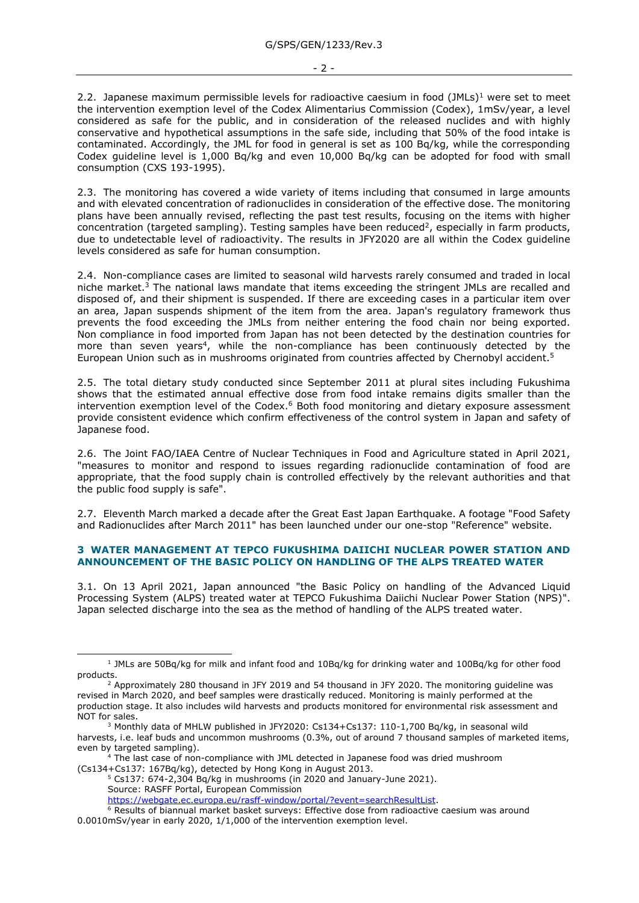2.2. Japanese maximum permissible levels for radioactive caesium in food  $(JMLs)^1$  were set to meet the intervention exemption level of the Codex Alimentarius Commission (Codex), 1mSv/year, a level considered as safe for the public, and in consideration of the released nuclides and with highly conservative and hypothetical assumptions in the safe side, including that 50% of the food intake is contaminated. Accordingly, the JML for food in general is set as 100 Bq/kg, while the corresponding Codex guideline level is 1,000 Bq/kg and even 10,000 Bq/kg can be adopted for food with small consumption (CXS 193-1995).

2.3. The monitoring has covered a wide variety of items including that consumed in large amounts and with elevated concentration of radionuclides in consideration of the effective dose. The monitoring plans have been annually revised, reflecting the past test results, focusing on the items with higher concentration (targeted sampling). Testing samples have been reduced<sup>2</sup>, especially in farm products, due to undetectable level of radioactivity. The results in JFY2020 are all within the Codex guideline levels considered as safe for human consumption.

2.4. Non-compliance cases are limited to seasonal wild harvests rarely consumed and traded in local niche market. $3$  The national laws mandate that items exceeding the stringent JMLs are recalled and disposed of, and their shipment is suspended. If there are exceeding cases in a particular item over an area, Japan suspends shipment of the item from the area. Japan's regulatory framework thus prevents the food exceeding the JMLs from neither entering the food chain nor being exported. Non compliance in food imported from Japan has not been detected by the destination countries for more than seven years<sup>4</sup>, while the non-compliance has been continuously detected by the European Union such as in mushrooms originated from countries affected by Chernobyl accident. 5

2.5. The total dietary study conducted since September 2011 at plural sites including Fukushima shows that the estimated annual effective dose from food intake remains digits smaller than the intervention exemption level of the Codex.<sup>6</sup> Both food monitoring and dietary exposure assessment provide consistent evidence which confirm effectiveness of the control system in Japan and safety of Japanese food.

2.6. The Joint FAO/IAEA Centre of Nuclear Techniques in Food and Agriculture stated in April 2021, "measures to monitor and respond to issues regarding radionuclide contamination of food are appropriate, that the food supply chain is controlled effectively by the relevant authorities and that the public food supply is safe".

2.7. Eleventh March marked a decade after the Great East Japan Earthquake. A footage "Food Safety and Radionuclides after March 2011" has been launched under our one-stop "Reference" website.

### **3 WATER MANAGEMENT AT TEPCO FUKUSHIMA DAIICHI NUCLEAR POWER STATION AND ANNOUNCEMENT OF THE BASIC POLICY ON HANDLING OF THE ALPS TREATED WATER**

3.1. On 13 April 2021, Japan announced "the Basic Policy on handling of the Advanced Liquid Processing System (ALPS) treated water at TEPCO Fukushima Daiichi Nuclear Power Station (NPS)". Japan selected discharge into the sea as the method of handling of the ALPS treated water.

<sup>5</sup> Cs137: 674-2,304 Bq/kg in mushrooms (in 2020 and January-June 2021). Source: RASFF Portal, European Commission

[https://webgate.ec.europa.eu/rasff-window/portal/?event=searchResultList.](https://webgate.ec.europa.eu/rasff-window/portal/?event=searchResultList)

<sup>&</sup>lt;sup>1</sup> JMLs are 50Bq/kg for milk and infant food and 10Bq/kg for drinking water and 100Bq/kg for other food products.

<sup>&</sup>lt;sup>2</sup> Approximately 280 thousand in JFY 2019 and 54 thousand in JFY 2020. The monitoring guideline was revised in March 2020, and beef samples were drastically reduced. Monitoring is mainly performed at the production stage. It also includes wild harvests and products monitored for environmental risk assessment and NOT for sales.

<sup>&</sup>lt;sup>3</sup> Monthly data of MHLW published in JFY2020: Cs134+Cs137: 110-1,700 Bq/kg, in seasonal wild harvests, i.e. leaf buds and uncommon mushrooms (0.3%, out of around 7 thousand samples of marketed items, even by targeted sampling).

 $^{4}$  The last case of non-compliance with JML detected in Japanese food was dried mushroom (Cs134+Cs137: 167Bq/kg), detected by Hong Kong in August 2013.

<sup>6</sup> Results of biannual market basket surveys: Effective dose from radioactive caesium was around 0.0010mSv/year in early 2020, 1/1,000 of the intervention exemption level.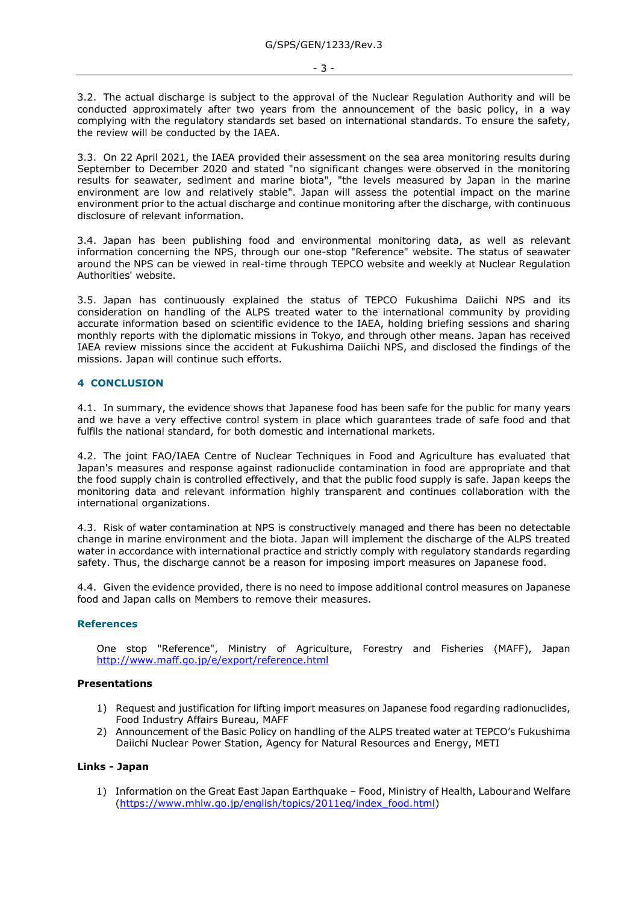3.2. The actual discharge is subject to the approval of the Nuclear Regulation Authority and will be conducted approximately after two years from the announcement of the basic policy, in a way complying with the regulatory standards set based on international standards. To ensure the safety, the review will be conducted by the IAEA.

3.3. On 22 April 2021, the IAEA provided their assessment on the sea area monitoring results during September to December 2020 and stated "no significant changes were observed in the monitoring results for seawater, sediment and marine biota", "the levels measured by Japan in the marine environment are low and relatively stable". Japan will assess the potential impact on the marine environment prior to the actual discharge and continue monitoring after the discharge, with continuous disclosure of relevant information.

3.4. Japan has been publishing food and environmental monitoring data, as well as relevant information concerning the NPS, through our one-stop "Reference" website. The status of seawater around the NPS can be viewed in real-time through TEPCO website and weekly at Nuclear Regulation Authorities' website.

3.5. Japan has continuously explained the status of TEPCO Fukushima Daiichi NPS and its consideration on handling of the ALPS treated water to the international community by providing accurate information based on scientific evidence to the IAEA, holding briefing sessions and sharing monthly reports with the diplomatic missions in Tokyo, and through other means. Japan has received IAEA review missions since the accident at Fukushima Daiichi NPS, and disclosed the findings of the missions. Japan will continue such efforts.

# **4 CONCLUSION**

4.1. In summary, the evidence shows that Japanese food has been safe for the public for many years and we have a very effective control system in place which guarantees trade of safe food and that fulfils the national standard, for both domestic and international markets.

4.2. The joint FAO/IAEA Centre of Nuclear Techniques in Food and Agriculture has evaluated that Japan's measures and response against radionuclide contamination in food are appropriate and that the food supply chain is controlled effectively, and that the public food supply is safe. Japan keeps the monitoring data and relevant information highly transparent and continues collaboration with the international organizations.

4.3. Risk of water contamination at NPS is constructively managed and there has been no detectable change in marine environment and the biota. Japan will implement the discharge of the ALPS treated water in accordance with international practice and strictly comply with regulatory standards regarding safety. Thus, the discharge cannot be a reason for imposing import measures on Japanese food.

4.4. Given the evidence provided, there is no need to impose additional control measures on Japanese food and Japan calls on Members to remove their measures.

#### **References**

One stop "Reference", Ministry of Agriculture, Forestry and Fisheries (MAFF), Japa[n](http://www.maff.go.jp/e/export/reference.html) <http://www.maff.go.jp/e/export/reference.html>

### **Presentations**

- 1) Request and justification for lifting import measures on Japanese food regarding radionuclides, Food Industry Affairs Bureau, MAFF
- 2) Announcement of the Basic Policy on handling of the ALPS treated water at TEPCO's Fukushima Daiichi Nuclear Power Station, Agency for Natural Resources and Energy, METI

#### **Links - Japan**

1) Information on the Great East Japan Earthquake – Food, Ministry of Health, Labourand Welfare [\(https://www.mhlw.go.jp/english/topics/2011eq/index\\_food.html\)](https://www.mhlw.go.jp/english/topics/2011eq/index_food.html)